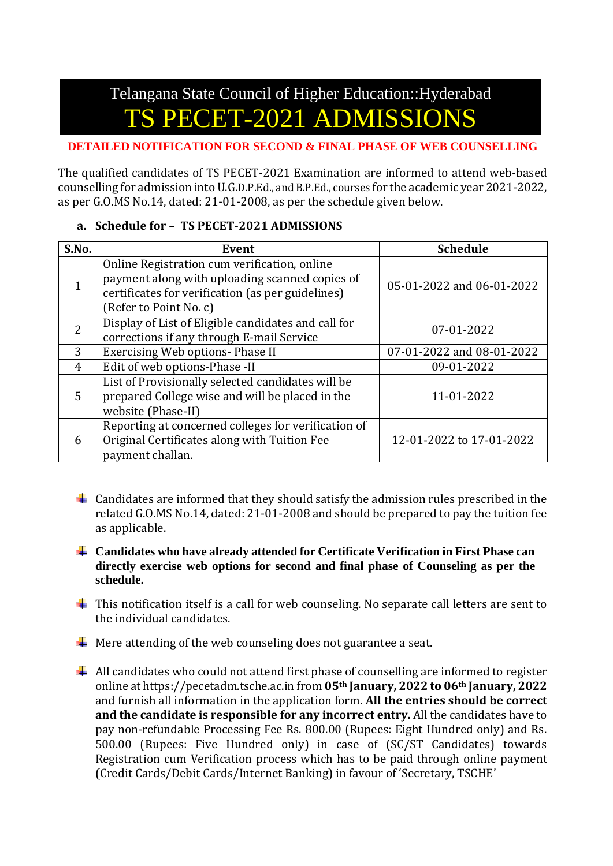# Telangana State Council of Higher Education::Hyderabad **TET-2021 ADMISSIONS**

#### **DETAILED NOTIFICATION FOR SECOND & FINAL PHASE OF WEB COUNSELLING**

The qualified candidates of TS PECET-2021 Examination are informed to attend web-based counselling for admission into U.G.D.P.Ed., and B.P.Ed., courses for the academic year 2021-2022, as per G.O.MS No.14, dated: 21-01-2008, as per the schedule given below.

## **a. Schedule for – TS PECET-2021 ADMISSIONS**

| S.No.          | Event                                                                                                                                                                         | <b>Schedule</b>           |
|----------------|-------------------------------------------------------------------------------------------------------------------------------------------------------------------------------|---------------------------|
|                | Online Registration cum verification, online<br>payment along with uploading scanned copies of<br>certificates for verification (as per guidelines)<br>(Refer to Point No. c) | 05-01-2022 and 06-01-2022 |
| $\overline{2}$ | Display of List of Eligible candidates and call for<br>corrections if any through E-mail Service                                                                              | 07-01-2022                |
| 3              | Exercising Web options- Phase II                                                                                                                                              | 07-01-2022 and 08-01-2022 |
| 4              | Edit of web options-Phase -II                                                                                                                                                 | 09-01-2022                |
| 5              | List of Provisionally selected candidates will be<br>prepared College wise and will be placed in the<br>website (Phase-II)                                                    | 11-01-2022                |
| 6              | Reporting at concerned colleges for verification of<br>Original Certificates along with Tuition Fee<br>payment challan.                                                       | 12-01-2022 to 17-01-2022  |

- $\ddot{\phantom{1}}$  Candidates are informed that they should satisfy the admission rules prescribed in the related G.O.MS No.14, dated: 21-01-2008 and should be prepared to pay the tuition fee as applicable.
- **Candidates who have already attended for Certificate Verification in First Phase can directly exercise web options for second and final phase of Counseling as per the schedule.**
- $\ddot{\phantom{a}}$  This notification itself is a call for web counseling. No separate call letters are sent to the individual candidates.
- $\overline{\phantom{a} \bullet}$  Mere attending of the web counseling does not guarantee a seat.
- $\overline{\phantom{a}^+}$  All candidates who could not attend first phase of counselling are informed to register online at https://pecetadm.tsche.ac.in from **05th January, 2022 to 06th January, 2022** and furnish all information in the application form. **All the entries should be correct and the candidate is responsible for any incorrect entry.** All the candidates have to pay non-refundable Processing Fee Rs. 800.00 (Rupees: Eight Hundred only) and Rs. 500.00 (Rupees: Five Hundred only) in case of (SC/ST Candidates) towards Registration cum Verification process which has to be paid through online payment (Credit Cards/Debit Cards/Internet Banking) in favour of 'Secretary, TSCHE'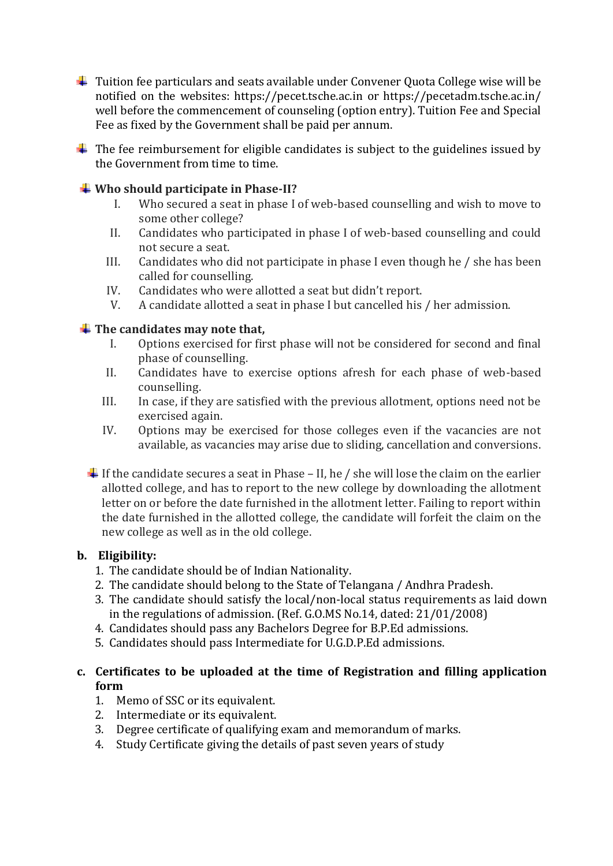$\downarrow$  Tuition fee particulars and seats available under Convener Quota College wise will be notified on the websites: [https://pecet.tsche.ac.in](https://pecet.tsche.ac.in/) or<https://pecetadm.tsche.ac.in/> well before the commencement of counseling (option entry). Tuition Fee and Special Fee as fixed by the Government shall be paid per annum.

 $\ddot{\phantom{1}}$  The fee reimbursement for eligible candidates is subject to the guidelines issued by the Government from time to time.

## **Who should participate in Phase-II?**

- I. Who secured a seat in phase I of web-based counselling and wish to move to some other college?
- II. Candidates who participated in phase I of web-based counselling and could not secure a seat.
- III. Candidates who did not participate in phase I even though he / she has been called for counselling.
- IV. Candidates who were allotted a seat but didn't report.
- V. A candidate allotted a seat in phase I but cancelled his / her admission.

## $\frac{1}{\sqrt{1}}$  The candidates may note that,

- I. Options exercised for first phase will not be considered for second and final phase of counselling.
- II. Candidates have to exercise options afresh for each phase of web-based counselling.
- III. In case, if they are satisfied with the previous allotment, options need not be exercised again.
- IV. Options may be exercised for those colleges even if the vacancies are not available, as vacancies may arise due to sliding, cancellation and conversions.
- If the candidate secures a seat in Phase II, he / she will lose the claim on the earlier allotted college, and has to report to the new college by downloading the allotment letter on or before the date furnished in the allotment letter. Failing to report within the date furnished in the allotted college, the candidate will forfeit the claim on the new college as well as in the old college.

#### **b. Eligibility:**

- 1. The candidate should be of Indian Nationality.
- 2. The candidate should belong to the State of Telangana / Andhra Pradesh.
- 3. The candidate should satisfy the local/non-local status requirements as laid down in the regulations of admission. (Ref. G.O.MS No.14, dated: 21/01/2008)
- 4. Candidates should pass any Bachelors Degree for B.P.Ed admissions.
- 5. Candidates should pass Intermediate for U.G.D.P.Ed admissions.

## **c. Certificates to be uploaded at the time of Registration and filling application form**

- 1. Memo of SSC or its equivalent.
- 2. Intermediate or its equivalent.
- 3. Degree certificate of qualifying exam and memorandum of marks.
- 4. Study Certificate giving the details of past seven years of study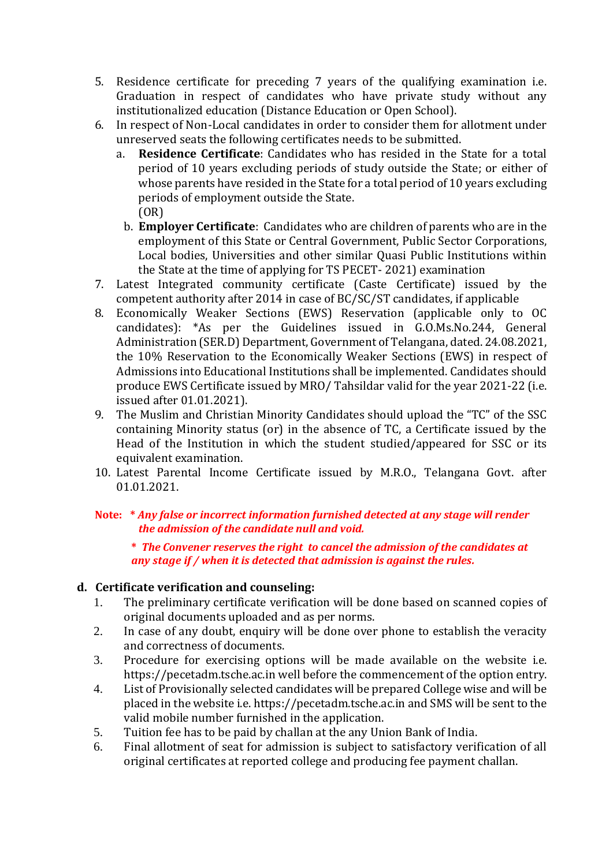- 5. Residence certificate for preceding 7 years of the qualifying examination i.e. Graduation in respect of candidates who have private study without any institutionalized education (Distance Education or Open School).
- 6. In respect of Non-Local candidates in order to consider them for allotment under unreserved seats the following certificates needs to be submitted.
	- a. **Residence Certificate**: Candidates who has resided in the State for a total period of 10 years excluding periods of study outside the State; or either of whose parents have resided in the State for a total period of 10 years excluding periods of employment outside the State. (OR)
		- b. **Employer Certificate**: Candidates who are children of parents who are in the employment of this State or Central Government, Public Sector Corporations, Local bodies, Universities and other similar Quasi Public Institutions within the State at the time of applying for TS PECET- 2021) examination
- 7. Latest Integrated community certificate (Caste Certificate) issued by the competent authority after 2014 in case of BC/SC/ST candidates, if applicable
- 8. Economically Weaker Sections (EWS) Reservation (applicable only to OC candidates): \*As per the Guidelines issued in G.O.Ms.No.244, General Administration (SER.D) Department, Government of Telangana, dated. 24.08.2021, the 10% Reservation to the Economically Weaker Sections (EWS) in respect of Admissions into Educational Institutions shall be implemented. Candidates should produce EWS Certificate issued by MRO/ Tahsildar valid for the year 2021-22 (i.e. issued after 01.01.2021).
- 9. The Muslim and Christian Minority Candidates should upload the "TC" of the SSC containing Minority status (or) in the absence of TC, a Certificate issued by the Head of the Institution in which the student studied/appeared for SSC or its equivalent examination.
- 10. Latest Parental Income Certificate issued by M.R.O., Telangana Govt. after 01.01.2021.

## **Note: \*** *Any false or incorrect information furnished detected at any stage will render the admission of the candidate null and void.*

**\*** *The Convener reserves the right to cancel the admission of the candidates at any stage if / when it is detected that admission is against the rules.*

# **d. Certificate verification and counseling:**

- 1. The preliminary certificate verification will be done based on scanned copies of original documents uploaded and as per norms.
- 2. In case of any doubt, enquiry will be done over phone to establish the veracity and correctness of documents.
- 3. Procedure for exercising options will be made available on the website i.e. https://pecetadm.tsche.ac.in well before the commencement of the option entry.
- 4. List of Provisionally selected candidates will be prepared College wise and will be placed in the website i.e. https://pecetadm.tsche.ac.in and SMS will be sent to the valid mobile number furnished in the application.
- 5. Tuition fee has to be paid by challan at the any Union Bank of India.
- 6. Final allotment of seat for admission is subject to satisfactory verification of all original certificates at reported college and producing fee payment challan.